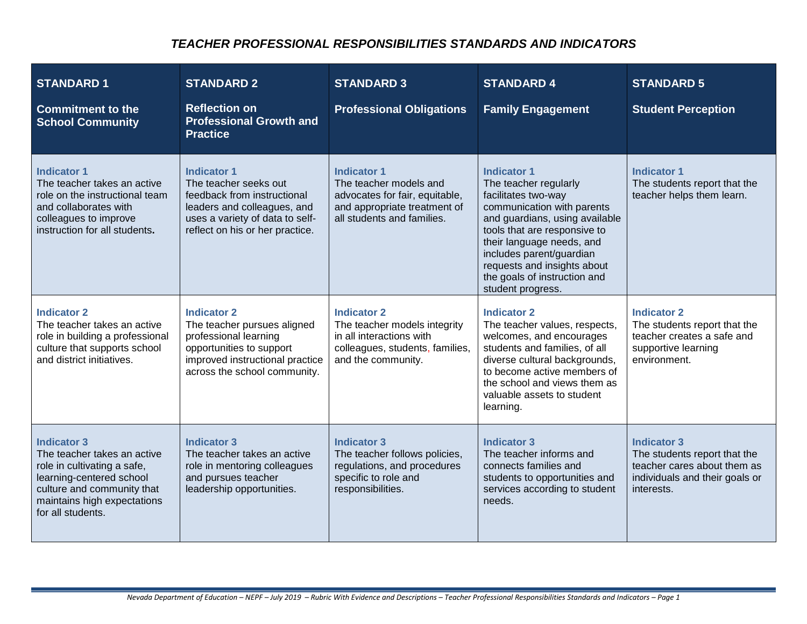### *TEACHER PROFESSIONAL RESPONSIBILITIES STANDARDS AND INDICATORS*

| <b>STANDARD 1</b><br><b>Commitment to the</b><br><b>School Community</b>                                                                                                                       | <b>STANDARD 2</b><br><b>Reflection on</b><br><b>Professional Growth and</b><br><b>Practice</b>                                                                                  | <b>STANDARD 3</b><br><b>Professional Obligations</b>                                                                                         | <b>STANDARD 4</b><br><b>Family Engagement</b>                                                                                                                                                                                                                                                                   | <b>STANDARD 5</b><br><b>Student Perception</b>                                                                                    |
|------------------------------------------------------------------------------------------------------------------------------------------------------------------------------------------------|---------------------------------------------------------------------------------------------------------------------------------------------------------------------------------|----------------------------------------------------------------------------------------------------------------------------------------------|-----------------------------------------------------------------------------------------------------------------------------------------------------------------------------------------------------------------------------------------------------------------------------------------------------------------|-----------------------------------------------------------------------------------------------------------------------------------|
| <b>Indicator 1</b><br>The teacher takes an active<br>role on the instructional team<br>and collaborates with<br>colleagues to improve<br>instruction for all students.                         | <b>Indicator 1</b><br>The teacher seeks out<br>feedback from instructional<br>leaders and colleagues, and<br>uses a variety of data to self-<br>reflect on his or her practice. | <b>Indicator 1</b><br>The teacher models and<br>advocates for fair, equitable,<br>and appropriate treatment of<br>all students and families. | <b>Indicator 1</b><br>The teacher regularly<br>facilitates two-way<br>communication with parents<br>and guardians, using available<br>tools that are responsive to<br>their language needs, and<br>includes parent/guardian<br>requests and insights about<br>the goals of instruction and<br>student progress. | <b>Indicator 1</b><br>The students report that the<br>teacher helps them learn.                                                   |
| <b>Indicator 2</b><br>The teacher takes an active<br>role in building a professional<br>culture that supports school<br>and district initiatives.                                              | <b>Indicator 2</b><br>The teacher pursues aligned<br>professional learning<br>opportunities to support<br>improved instructional practice<br>across the school community.       | <b>Indicator 2</b><br>The teacher models integrity<br>in all interactions with<br>colleagues, students, families,<br>and the community.      | <b>Indicator 2</b><br>The teacher values, respects,<br>welcomes, and encourages<br>students and families, of all<br>diverse cultural backgrounds,<br>to become active members of<br>the school and views them as<br>valuable assets to student<br>learning.                                                     | <b>Indicator 2</b><br>The students report that the<br>teacher creates a safe and<br>supportive learning<br>environment.           |
| <b>Indicator 3</b><br>The teacher takes an active<br>role in cultivating a safe,<br>learning-centered school<br>culture and community that<br>maintains high expectations<br>for all students. | <b>Indicator 3</b><br>The teacher takes an active<br>role in mentoring colleagues<br>and pursues teacher<br>leadership opportunities.                                           | <b>Indicator 3</b><br>The teacher follows policies,<br>regulations, and procedures<br>specific to role and<br>responsibilities.              | <b>Indicator 3</b><br>The teacher informs and<br>connects families and<br>students to opportunities and<br>services according to student<br>needs.                                                                                                                                                              | <b>Indicator 3</b><br>The students report that the<br>teacher cares about them as<br>individuals and their goals or<br>interests. |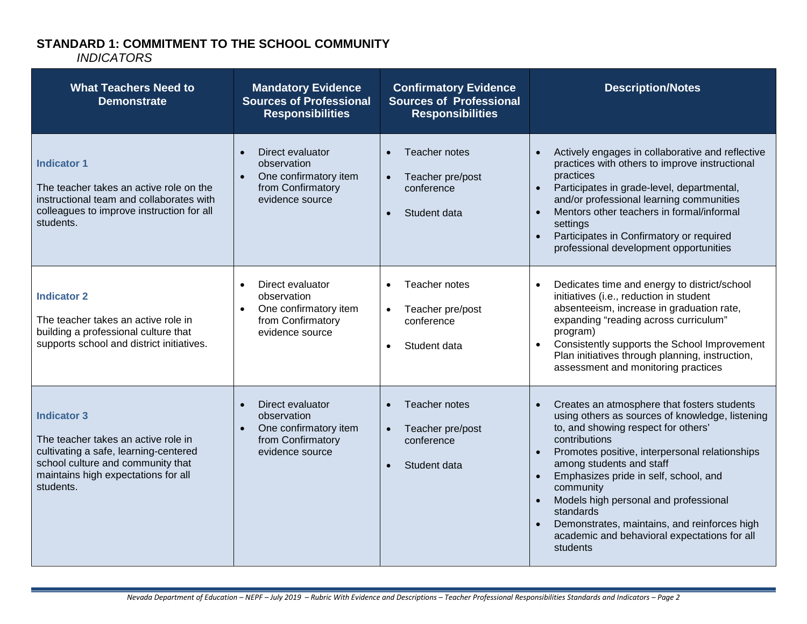# **STANDARD 1: COMMITMENT TO THE SCHOOL COMMUNITY**

| <b>What Teachers Need to</b><br><b>Demonstrate</b>                                                                                                                                          | <b>Mandatory Evidence</b><br><b>Sources of Professional</b><br><b>Responsibilities</b>                        | <b>Confirmatory Evidence</b><br><b>Sources of Professional</b><br><b>Responsibilities</b> | <b>Description/Notes</b>                                                                                                                                                                                                                                                                                                                                                                                                                                                  |
|---------------------------------------------------------------------------------------------------------------------------------------------------------------------------------------------|---------------------------------------------------------------------------------------------------------------|-------------------------------------------------------------------------------------------|---------------------------------------------------------------------------------------------------------------------------------------------------------------------------------------------------------------------------------------------------------------------------------------------------------------------------------------------------------------------------------------------------------------------------------------------------------------------------|
| <b>Indicator 1</b><br>The teacher takes an active role on the<br>instructional team and collaborates with<br>colleagues to improve instruction for all<br>students.                         | Direct evaluator<br>$\bullet$<br>observation<br>One confirmatory item<br>from Confirmatory<br>evidence source | Teacher notes<br>Teacher pre/post<br>conference<br>Student data                           | Actively engages in collaborative and reflective<br>practices with others to improve instructional<br>practices<br>Participates in grade-level, departmental,<br>and/or professional learning communities<br>Mentors other teachers in formal/informal<br>settings<br>Participates in Confirmatory or required<br>professional development opportunities                                                                                                                  |
| <b>Indicator 2</b><br>The teacher takes an active role in<br>building a professional culture that<br>supports school and district initiatives.                                              | Direct evaluator<br>$\bullet$<br>observation<br>One confirmatory item<br>from Confirmatory<br>evidence source | Teacher notes<br>$\bullet$<br>Teacher pre/post<br>conference<br>Student data<br>$\bullet$ | Dedicates time and energy to district/school<br>initiatives (i.e., reduction in student<br>absenteeism, increase in graduation rate,<br>expanding "reading across curriculum"<br>program)<br>Consistently supports the School Improvement<br>$\bullet$<br>Plan initiatives through planning, instruction,<br>assessment and monitoring practices                                                                                                                          |
| <b>Indicator 3</b><br>The teacher takes an active role in<br>cultivating a safe, learning-centered<br>school culture and community that<br>maintains high expectations for all<br>students. | Direct evaluator<br>$\bullet$<br>observation<br>One confirmatory item<br>from Confirmatory<br>evidence source | Teacher notes<br>Teacher pre/post<br>$\bullet$<br>conference<br>Student data              | Creates an atmosphere that fosters students<br>using others as sources of knowledge, listening<br>to, and showing respect for others'<br>contributions<br>Promotes positive, interpersonal relationships<br>$\bullet$<br>among students and staff<br>Emphasizes pride in self, school, and<br>community<br>Models high personal and professional<br>standards<br>Demonstrates, maintains, and reinforces high<br>academic and behavioral expectations for all<br>students |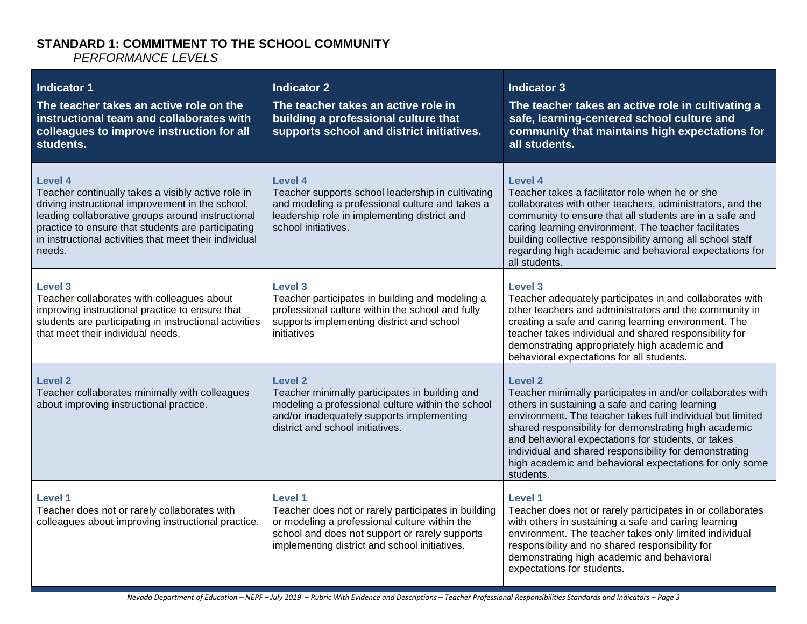#### **STANDARD 1: COMMITMENT TO THE SCHOOL COMMUNITY**  *PERFORMANCE LEVELS*

| <b>Indicator 1</b><br>The teacher takes an active role on the<br>instructional team and collaborates with<br>colleagues to improve instruction for all<br>students.                                                                                                                              | <b>Indicator 2</b><br>The teacher takes an active role in<br>building a professional culture that<br>supports school and district initiatives.                                                                     | <b>Indicator 3</b><br>The teacher takes an active role in cultivating a<br>safe, learning-centered school culture and<br>community that maintains high expectations for<br>all students.                                                                                                                                                                                                                                                           |
|--------------------------------------------------------------------------------------------------------------------------------------------------------------------------------------------------------------------------------------------------------------------------------------------------|--------------------------------------------------------------------------------------------------------------------------------------------------------------------------------------------------------------------|----------------------------------------------------------------------------------------------------------------------------------------------------------------------------------------------------------------------------------------------------------------------------------------------------------------------------------------------------------------------------------------------------------------------------------------------------|
| Level 4<br>Teacher continually takes a visibly active role in<br>driving instructional improvement in the school,<br>leading collaborative groups around instructional<br>practice to ensure that students are participating<br>in instructional activities that meet their individual<br>needs. | <b>Level 4</b><br>Teacher supports school leadership in cultivating<br>and modeling a professional culture and takes a<br>leadership role in implementing district and<br>school initiatives.                      | <b>Level 4</b><br>Teacher takes a facilitator role when he or she<br>collaborates with other teachers, administrators, and the<br>community to ensure that all students are in a safe and<br>caring learning environment. The teacher facilitates<br>building collective responsibility among all school staff<br>regarding high academic and behavioral expectations for<br>all students.                                                         |
| Level 3<br>Teacher collaborates with colleagues about<br>improving instructional practice to ensure that<br>students are participating in instructional activities<br>that meet their individual needs.                                                                                          | <b>Level 3</b><br>Teacher participates in building and modeling a<br>professional culture within the school and fully<br>supports implementing district and school<br>initiatives                                  | Level 3<br>Teacher adequately participates in and collaborates with<br>other teachers and administrators and the community in<br>creating a safe and caring learning environment. The<br>teacher takes individual and shared responsibility for<br>demonstrating appropriately high academic and<br>behavioral expectations for all students.                                                                                                      |
| Level 2<br>Teacher collaborates minimally with colleagues<br>about improving instructional practice.                                                                                                                                                                                             | Level 2<br>Teacher minimally participates in building and<br>modeling a professional culture within the school<br>and/or inadequately supports implementing<br>district and school initiatives.                    | Level <sub>2</sub><br>Teacher minimally participates in and/or collaborates with<br>others in sustaining a safe and caring learning<br>environment. The teacher takes full individual but limited<br>shared responsibility for demonstrating high academic<br>and behavioral expectations for students, or takes<br>individual and shared responsibility for demonstrating<br>high academic and behavioral expectations for only some<br>students. |
| Level 1<br>Teacher does not or rarely collaborates with<br>colleagues about improving instructional practice.                                                                                                                                                                                    | Level 1<br>Teacher does not or rarely participates in building<br>or modeling a professional culture within the<br>school and does not support or rarely supports<br>implementing district and school initiatives. | Level 1<br>Teacher does not or rarely participates in or collaborates<br>with others in sustaining a safe and caring learning<br>environment. The teacher takes only limited individual<br>responsibility and no shared responsibility for<br>demonstrating high academic and behavioral<br>expectations for students.                                                                                                                             |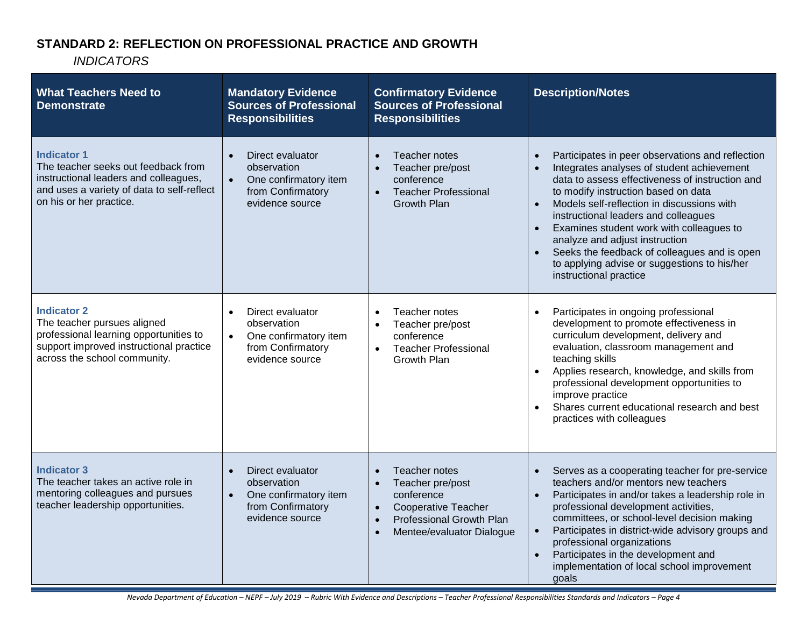## **STANDARD 2: REFLECTION ON PROFESSIONAL PRACTICE AND GROWTH**

| <b>What Teachers Need to</b><br><b>Demonstrate</b>                                                                                                                          | <b>Mandatory Evidence</b><br><b>Sources of Professional</b><br><b>Responsibilities</b>                                     | <b>Confirmatory Evidence</b><br><b>Sources of Professional</b><br><b>Responsibilities</b>                                                                                                  | <b>Description/Notes</b>                                                                                                                                                                                                                                                                                                                                                                                                                                                                            |
|-----------------------------------------------------------------------------------------------------------------------------------------------------------------------------|----------------------------------------------------------------------------------------------------------------------------|--------------------------------------------------------------------------------------------------------------------------------------------------------------------------------------------|-----------------------------------------------------------------------------------------------------------------------------------------------------------------------------------------------------------------------------------------------------------------------------------------------------------------------------------------------------------------------------------------------------------------------------------------------------------------------------------------------------|
| <b>Indicator 1</b><br>The teacher seeks out feedback from<br>instructional leaders and colleagues,<br>and uses a variety of data to self-reflect<br>on his or her practice. | Direct evaluator<br>$\bullet$<br>observation<br>$\bullet$<br>One confirmatory item<br>from Confirmatory<br>evidence source | Teacher notes<br>$\bullet$<br>Teacher pre/post<br>$\bullet$<br>conference<br><b>Teacher Professional</b><br>$\bullet$<br><b>Growth Plan</b>                                                | Participates in peer observations and reflection<br>Integrates analyses of student achievement<br>data to assess effectiveness of instruction and<br>to modify instruction based on data<br>Models self-reflection in discussions with<br>instructional leaders and colleagues<br>Examines student work with colleagues to<br>$\bullet$<br>analyze and adjust instruction<br>Seeks the feedback of colleagues and is open<br>to applying advise or suggestions to his/her<br>instructional practice |
| <b>Indicator 2</b><br>The teacher pursues aligned<br>professional learning opportunities to<br>support improved instructional practice<br>across the school community.      | Direct evaluator<br>$\bullet$<br>observation<br>One confirmatory item<br>$\bullet$<br>from Confirmatory<br>evidence source | Teacher notes<br>$\bullet$<br>Teacher pre/post<br>$\bullet$<br>conference<br><b>Teacher Professional</b><br>$\bullet$<br><b>Growth Plan</b>                                                | Participates in ongoing professional<br>$\bullet$<br>development to promote effectiveness in<br>curriculum development, delivery and<br>evaluation, classroom management and<br>teaching skills<br>Applies research, knowledge, and skills from<br>$\bullet$<br>professional development opportunities to<br>improve practice<br>Shares current educational research and best<br>$\bullet$<br>practices with colleagues                                                                             |
| <b>Indicator 3</b><br>The teacher takes an active role in<br>mentoring colleagues and pursues<br>teacher leadership opportunities.                                          | Direct evaluator<br>$\bullet$<br>observation<br>One confirmatory item<br>$\bullet$<br>from Confirmatory<br>evidence source | Teacher notes<br>$\bullet$<br>Teacher pre/post<br>$\bullet$<br>conference<br><b>Cooperative Teacher</b><br>Professional Growth Plan<br>$\bullet$<br>Mentee/evaluator Dialogue<br>$\bullet$ | Serves as a cooperating teacher for pre-service<br>teachers and/or mentors new teachers<br>Participates in and/or takes a leadership role in<br>$\bullet$<br>professional development activities,<br>committees, or school-level decision making<br>Participates in district-wide advisory groups and<br>$\bullet$<br>professional organizations<br>Participates in the development and<br>$\bullet$<br>implementation of local school improvement<br>goals                                         |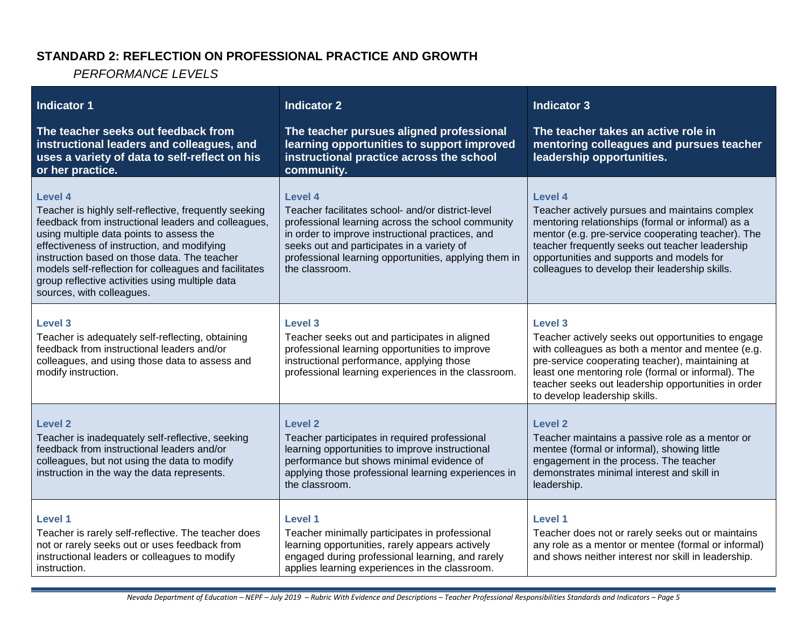### **STANDARD 2: REFLECTION ON PROFESSIONAL PRACTICE AND GROWTH**

*PERFORMANCE LEVELS*

| <b>Indicator 1</b><br>The teacher seeks out feedback from<br>instructional leaders and colleagues, and<br>uses a variety of data to self-reflect on his<br>or her practice.                                                                                                                                                                                                                                 | <b>Indicator 2</b><br>The teacher pursues aligned professional<br>learning opportunities to support improved<br>instructional practice across the school<br>community.                                                                                                                         | <b>Indicator 3</b><br>The teacher takes an active role in<br>mentoring colleagues and pursues teacher<br>leadership opportunities.                                                                                                                                                                                          |
|-------------------------------------------------------------------------------------------------------------------------------------------------------------------------------------------------------------------------------------------------------------------------------------------------------------------------------------------------------------------------------------------------------------|------------------------------------------------------------------------------------------------------------------------------------------------------------------------------------------------------------------------------------------------------------------------------------------------|-----------------------------------------------------------------------------------------------------------------------------------------------------------------------------------------------------------------------------------------------------------------------------------------------------------------------------|
| Level 4<br>Teacher is highly self-reflective, frequently seeking<br>feedback from instructional leaders and colleagues,<br>using multiple data points to assess the<br>effectiveness of instruction, and modifying<br>instruction based on those data. The teacher<br>models self-reflection for colleagues and facilitates<br>group reflective activities using multiple data<br>sources, with colleagues. | Level 4<br>Teacher facilitates school- and/or district-level<br>professional learning across the school community<br>in order to improve instructional practices, and<br>seeks out and participates in a variety of<br>professional learning opportunities, applying them in<br>the classroom. | Level 4<br>Teacher actively pursues and maintains complex<br>mentoring relationships (formal or informal) as a<br>mentor (e.g. pre-service cooperating teacher). The<br>teacher frequently seeks out teacher leadership<br>opportunities and supports and models for<br>colleagues to develop their leadership skills.      |
| <b>Level 3</b><br>Teacher is adequately self-reflecting, obtaining<br>feedback from instructional leaders and/or<br>colleagues, and using those data to assess and<br>modify instruction.                                                                                                                                                                                                                   | <b>Level 3</b><br>Teacher seeks out and participates in aligned<br>professional learning opportunities to improve<br>instructional performance, applying those<br>professional learning experiences in the classroom.                                                                          | <b>Level 3</b><br>Teacher actively seeks out opportunities to engage<br>with colleagues as both a mentor and mentee (e.g.<br>pre-service cooperating teacher), maintaining at<br>least one mentoring role (formal or informal). The<br>teacher seeks out leadership opportunities in order<br>to develop leadership skills. |
| <b>Level 2</b><br>Teacher is inadequately self-reflective, seeking<br>feedback from instructional leaders and/or<br>colleagues, but not using the data to modify<br>instruction in the way the data represents.                                                                                                                                                                                             | <b>Level 2</b><br>Teacher participates in required professional<br>learning opportunities to improve instructional<br>performance but shows minimal evidence of<br>applying those professional learning experiences in<br>the classroom.                                                       | <b>Level 2</b><br>Teacher maintains a passive role as a mentor or<br>mentee (formal or informal), showing little<br>engagement in the process. The teacher<br>demonstrates minimal interest and skill in<br>leadership.                                                                                                     |
| <b>Level 1</b><br>Teacher is rarely self-reflective. The teacher does<br>not or rarely seeks out or uses feedback from<br>instructional leaders or colleagues to modify<br>instruction.                                                                                                                                                                                                                     | <b>Level 1</b><br>Teacher minimally participates in professional<br>learning opportunities, rarely appears actively<br>engaged during professional learning, and rarely<br>applies learning experiences in the classroom.                                                                      | <b>Level 1</b><br>Teacher does not or rarely seeks out or maintains<br>any role as a mentor or mentee (formal or informal)<br>and shows neither interest nor skill in leadership.                                                                                                                                           |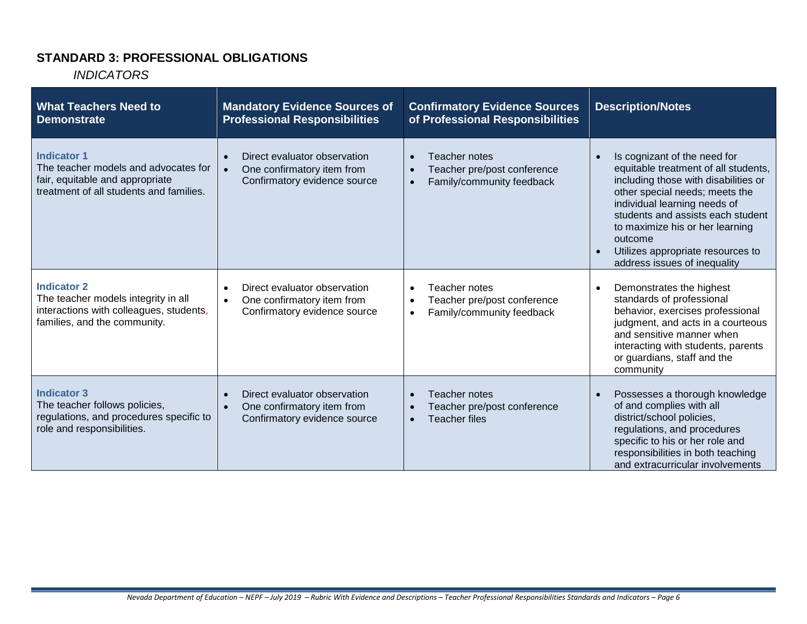### **STANDARD 3: PROFESSIONAL OBLIGATIONS**

| <b>What Teachers Need to</b><br><b>Demonstrate</b>                                                                                       | <b>Mandatory Evidence Sources of</b><br><b>Professional Responsibilities</b>                                         | <b>Confirmatory Evidence Sources</b><br>of Professional Responsibilities                                                | <b>Description/Notes</b>                                                                                                                                                                                                                                                                                                               |
|------------------------------------------------------------------------------------------------------------------------------------------|----------------------------------------------------------------------------------------------------------------------|-------------------------------------------------------------------------------------------------------------------------|----------------------------------------------------------------------------------------------------------------------------------------------------------------------------------------------------------------------------------------------------------------------------------------------------------------------------------------|
| <b>Indicator 1</b><br>The teacher models and advocates for<br>fair, equitable and appropriate<br>treatment of all students and families. | Direct evaluator observation<br>$\bullet$<br>One confirmatory item from<br>Confirmatory evidence source              | <b>Teacher notes</b><br>$\bullet$<br>Teacher pre/post conference<br>$\bullet$<br>Family/community feedback<br>$\bullet$ | Is cognizant of the need for<br>equitable treatment of all students,<br>including those with disabilities or<br>other special needs; meets the<br>individual learning needs of<br>students and assists each student<br>to maximize his or her learning<br>outcome<br>Utilizes appropriate resources to<br>address issues of inequality |
| <b>Indicator 2</b><br>The teacher models integrity in all<br>interactions with colleagues, students,<br>families, and the community.     | Direct evaluator observation<br>$\bullet$<br>One confirmatory item from<br>$\bullet$<br>Confirmatory evidence source | Teacher notes<br>$\bullet$<br>Teacher pre/post conference<br>$\bullet$<br>Family/community feedback<br>$\bullet$        | Demonstrates the highest<br>standards of professional<br>behavior, exercises professional<br>judgment, and acts in a courteous<br>and sensitive manner when<br>interacting with students, parents<br>or guardians, staff and the<br>community                                                                                          |
| <b>Indicator 3</b><br>The teacher follows policies,<br>regulations, and procedures specific to<br>role and responsibilities.             | Direct evaluator observation<br>$\bullet$<br>One confirmatory item from<br>$\bullet$<br>Confirmatory evidence source | Teacher notes<br>$\bullet$<br>Teacher pre/post conference<br>$\bullet$<br><b>Teacher files</b><br>$\bullet$             | Possesses a thorough knowledge<br>of and complies with all<br>district/school policies,<br>regulations, and procedures<br>specific to his or her role and<br>responsibilities in both teaching<br>and extracurricular involvements                                                                                                     |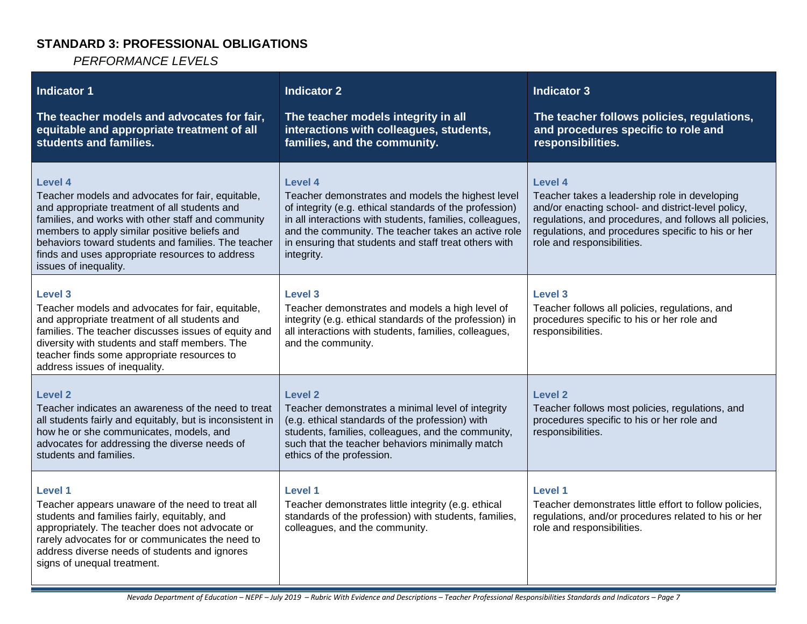## **STANDARD 3: PROFESSIONAL OBLIGATIONS**

*PERFORMANCE LEVELS*

| Indicator 1<br>The teacher models and advocates for fair,<br>equitable and appropriate treatment of all<br>students and families.                                                                                                                                                                                                                       | <b>Indicator 2</b><br>The teacher models integrity in all<br>interactions with colleagues, students,<br>families, and the community.                                                                                                                                                                                     | <b>Indicator 3</b><br>The teacher follows policies, regulations,<br>and procedures specific to role and<br>responsibilities.                                                                                                                                        |
|---------------------------------------------------------------------------------------------------------------------------------------------------------------------------------------------------------------------------------------------------------------------------------------------------------------------------------------------------------|--------------------------------------------------------------------------------------------------------------------------------------------------------------------------------------------------------------------------------------------------------------------------------------------------------------------------|---------------------------------------------------------------------------------------------------------------------------------------------------------------------------------------------------------------------------------------------------------------------|
| Level 4<br>Teacher models and advocates for fair, equitable,<br>and appropriate treatment of all students and<br>families, and works with other staff and community<br>members to apply similar positive beliefs and<br>behaviors toward students and families. The teacher<br>finds and uses appropriate resources to address<br>issues of inequality. | <b>Level 4</b><br>Teacher demonstrates and models the highest level<br>of integrity (e.g. ethical standards of the profession)<br>in all interactions with students, families, colleagues,<br>and the community. The teacher takes an active role<br>in ensuring that students and staff treat others with<br>integrity. | <b>Level 4</b><br>Teacher takes a leadership role in developing<br>and/or enacting school- and district-level policy,<br>regulations, and procedures, and follows all policies,<br>regulations, and procedures specific to his or her<br>role and responsibilities. |
| Level 3<br>Teacher models and advocates for fair, equitable,<br>and appropriate treatment of all students and<br>families. The teacher discusses issues of equity and<br>diversity with students and staff members. The<br>teacher finds some appropriate resources to<br>address issues of inequality.                                                 | Level 3<br>Teacher demonstrates and models a high level of<br>integrity (e.g. ethical standards of the profession) in<br>all interactions with students, families, colleagues,<br>and the community.                                                                                                                     | <b>Level 3</b><br>Teacher follows all policies, regulations, and<br>procedures specific to his or her role and<br>responsibilities.                                                                                                                                 |
| Level 2<br>Teacher indicates an awareness of the need to treat<br>all students fairly and equitably, but is inconsistent in<br>how he or she communicates, models, and<br>advocates for addressing the diverse needs of<br>students and families.                                                                                                       | Level 2<br>Teacher demonstrates a minimal level of integrity<br>(e.g. ethical standards of the profession) with<br>students, families, colleagues, and the community,<br>such that the teacher behaviors minimally match<br>ethics of the profession.                                                                    | <b>Level 2</b><br>Teacher follows most policies, regulations, and<br>procedures specific to his or her role and<br>responsibilities.                                                                                                                                |
| <b>Level 1</b><br>Teacher appears unaware of the need to treat all<br>students and families fairly, equitably, and<br>appropriately. The teacher does not advocate or<br>rarely advocates for or communicates the need to<br>address diverse needs of students and ignores<br>signs of unequal treatment.                                               | Level 1<br>Teacher demonstrates little integrity (e.g. ethical<br>standards of the profession) with students, families,<br>colleagues, and the community.                                                                                                                                                                | <b>Level 1</b><br>Teacher demonstrates little effort to follow policies,<br>regulations, and/or procedures related to his or her<br>role and responsibilities.                                                                                                      |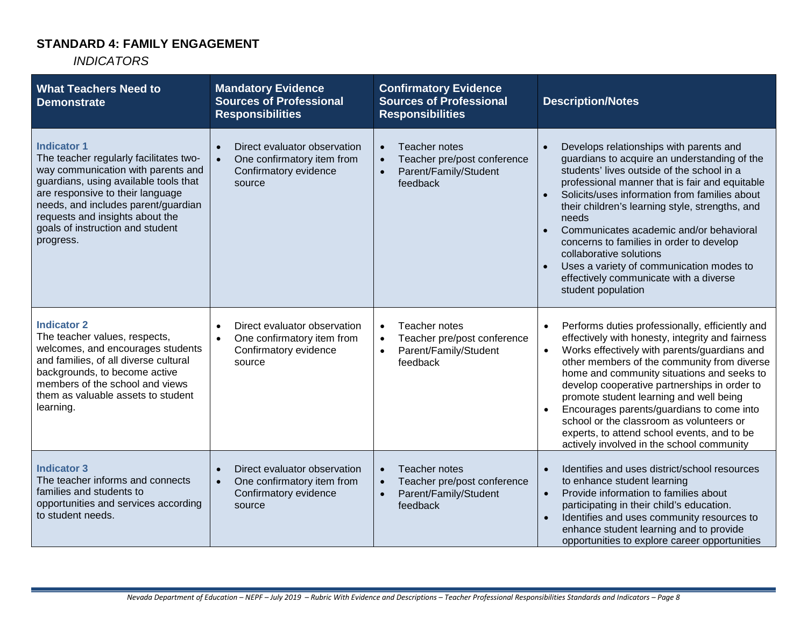## **STANDARD 4: FAMILY ENGAGEMENT**

| <b>What Teachers Need to</b><br><b>Demonstrate</b>                                                                                                                                                                                                                                                         | <b>Mandatory Evidence</b><br><b>Sources of Professional</b><br><b>Responsibilities</b>                                  | <b>Confirmatory Evidence</b><br><b>Sources of Professional</b><br><b>Responsibilities</b>                                | <b>Description/Notes</b>                                                                                                                                                                                                                                                                                                                                                                                                                                                                                                                                   |
|------------------------------------------------------------------------------------------------------------------------------------------------------------------------------------------------------------------------------------------------------------------------------------------------------------|-------------------------------------------------------------------------------------------------------------------------|--------------------------------------------------------------------------------------------------------------------------|------------------------------------------------------------------------------------------------------------------------------------------------------------------------------------------------------------------------------------------------------------------------------------------------------------------------------------------------------------------------------------------------------------------------------------------------------------------------------------------------------------------------------------------------------------|
| <b>Indicator 1</b><br>The teacher regularly facilitates two-<br>way communication with parents and<br>guardians, using available tools that<br>are responsive to their language<br>needs, and includes parent/guardian<br>requests and insights about the<br>goals of instruction and student<br>progress. | Direct evaluator observation<br>One confirmatory item from<br>Confirmatory evidence<br>source                           | Teacher notes<br>$\bullet$<br>Teacher pre/post conference<br>$\bullet$<br>Parent/Family/Student<br>feedback              | Develops relationships with parents and<br>guardians to acquire an understanding of the<br>students' lives outside of the school in a<br>professional manner that is fair and equitable<br>Solicits/uses information from families about<br>$\bullet$<br>their children's learning style, strengths, and<br>needs<br>Communicates academic and/or behavioral<br>concerns to families in order to develop<br>collaborative solutions<br>Uses a variety of communication modes to<br>effectively communicate with a diverse<br>student population            |
| <b>Indicator 2</b><br>The teacher values, respects,<br>welcomes, and encourages students<br>and families, of all diverse cultural<br>backgrounds, to become active<br>members of the school and views<br>them as valuable assets to student<br>learning.                                                   | Direct evaluator observation<br>$\bullet$<br>One confirmatory item from<br>$\bullet$<br>Confirmatory evidence<br>source | Teacher notes<br>$\bullet$<br>Teacher pre/post conference<br>$\bullet$<br>Parent/Family/Student<br>$\bullet$<br>feedback | Performs duties professionally, efficiently and<br>$\bullet$<br>effectively with honesty, integrity and fairness<br>Works effectively with parents/guardians and<br>$\bullet$<br>other members of the community from diverse<br>home and community situations and seeks to<br>develop cooperative partnerships in order to<br>promote student learning and well being<br>Encourages parents/guardians to come into<br>school or the classroom as volunteers or<br>experts, to attend school events, and to be<br>actively involved in the school community |
| <b>Indicator 3</b><br>The teacher informs and connects<br>families and students to<br>opportunities and services according<br>to student needs.                                                                                                                                                            | Direct evaluator observation<br>One confirmatory item from<br>$\bullet$<br>Confirmatory evidence<br>source              | Teacher notes<br>$\bullet$<br>Teacher pre/post conference<br>$\bullet$<br>Parent/Family/Student<br>$\bullet$<br>feedback | Identifies and uses district/school resources<br>$\bullet$<br>to enhance student learning<br>Provide information to families about<br>$\bullet$<br>participating in their child's education.<br>Identifies and uses community resources to<br>enhance student learning and to provide<br>opportunities to explore career opportunities                                                                                                                                                                                                                     |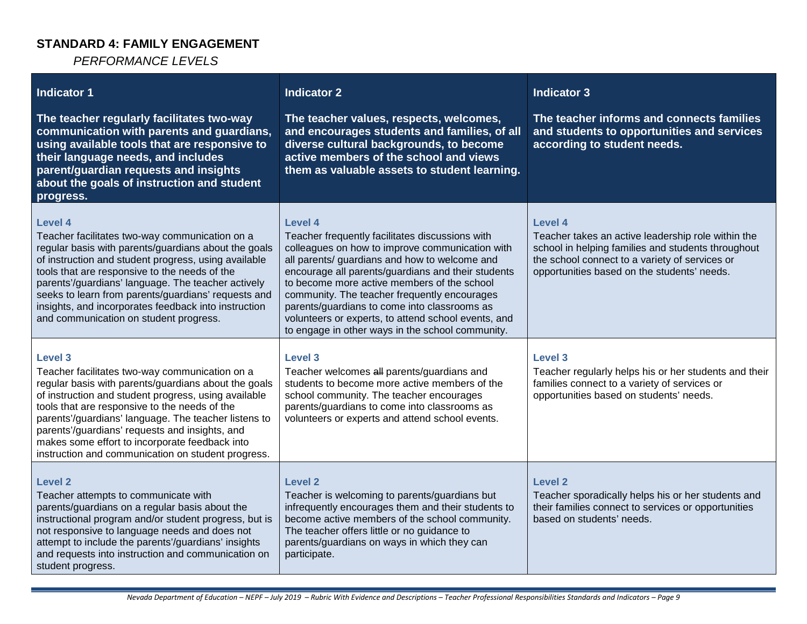### **STANDARD 4: FAMILY ENGAGEMENT**

*PERFORMANCE LEVELS*

| <b>Indicator 1</b><br>The teacher regularly facilitates two-way<br>communication with parents and guardians,<br>using available tools that are responsive to<br>their language needs, and includes<br>parent/guardian requests and insights<br>about the goals of instruction and student<br>progress.                                                                                                                                       | <b>Indicator 2</b><br>The teacher values, respects, welcomes,<br>and encourages students and families, of all<br>diverse cultural backgrounds, to become<br>active members of the school and views<br>them as valuable assets to student learning.                                                                                                                                                                                                                             | <b>Indicator 3</b><br>The teacher informs and connects families<br>and students to opportunities and services<br>according to student needs.                                                                         |
|----------------------------------------------------------------------------------------------------------------------------------------------------------------------------------------------------------------------------------------------------------------------------------------------------------------------------------------------------------------------------------------------------------------------------------------------|--------------------------------------------------------------------------------------------------------------------------------------------------------------------------------------------------------------------------------------------------------------------------------------------------------------------------------------------------------------------------------------------------------------------------------------------------------------------------------|----------------------------------------------------------------------------------------------------------------------------------------------------------------------------------------------------------------------|
| Level 4<br>Teacher facilitates two-way communication on a<br>regular basis with parents/guardians about the goals<br>of instruction and student progress, using available<br>tools that are responsive to the needs of the<br>parents'/guardians' language. The teacher actively<br>seeks to learn from parents/guardians' requests and<br>insights, and incorporates feedback into instruction<br>and communication on student progress.    | Level 4<br>Teacher frequently facilitates discussions with<br>colleagues on how to improve communication with<br>all parents/ guardians and how to welcome and<br>encourage all parents/guardians and their students<br>to become more active members of the school<br>community. The teacher frequently encourages<br>parents/guardians to come into classrooms as<br>volunteers or experts, to attend school events, and<br>to engage in other ways in the school community. | Level 4<br>Teacher takes an active leadership role within the<br>school in helping families and students throughout<br>the school connect to a variety of services or<br>opportunities based on the students' needs. |
| Level 3<br>Teacher facilitates two-way communication on a<br>regular basis with parents/guardians about the goals<br>of instruction and student progress, using available<br>tools that are responsive to the needs of the<br>parents'/guardians' language. The teacher listens to<br>parents'/guardians' requests and insights, and<br>makes some effort to incorporate feedback into<br>instruction and communication on student progress. | Level 3<br>Teacher welcomes all parents/guardians and<br>students to become more active members of the<br>school community. The teacher encourages<br>parents/guardians to come into classrooms as<br>volunteers or experts and attend school events.                                                                                                                                                                                                                          | Level <sub>3</sub><br>Teacher regularly helps his or her students and their<br>families connect to a variety of services or<br>opportunities based on students' needs.                                               |
| <b>Level 2</b><br>Teacher attempts to communicate with<br>parents/guardians on a regular basis about the<br>instructional program and/or student progress, but is<br>not responsive to language needs and does not<br>attempt to include the parents'/guardians' insights<br>and requests into instruction and communication on<br>student progress.                                                                                         | <b>Level 2</b><br>Teacher is welcoming to parents/guardians but<br>infrequently encourages them and their students to<br>become active members of the school community.<br>The teacher offers little or no guidance to<br>parents/guardians on ways in which they can<br>participate.                                                                                                                                                                                          | <b>Level 2</b><br>Teacher sporadically helps his or her students and<br>their families connect to services or opportunities<br>based on students' needs.                                                             |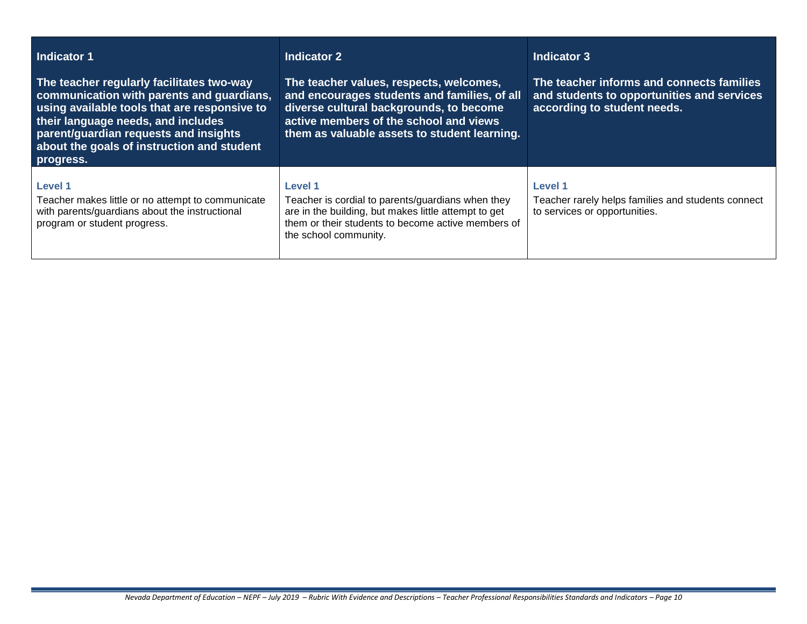| Indicator 1<br>The teacher regularly facilitates two-way<br>communication with parents and guardians,<br>using available tools that are responsive to<br>their language needs, and includes<br>parent/guardian requests and insights<br>about the goals of instruction and student<br>progress. | Indicator 2<br>The teacher values, respects, welcomes,<br>and encourages students and families, of all<br>diverse cultural backgrounds, to become<br>active members of the school and views<br>them as valuable assets to student learning. | <b>Indicator 3</b><br>The teacher informs and connects families<br>and students to opportunities and services<br>according to student needs. |
|-------------------------------------------------------------------------------------------------------------------------------------------------------------------------------------------------------------------------------------------------------------------------------------------------|---------------------------------------------------------------------------------------------------------------------------------------------------------------------------------------------------------------------------------------------|----------------------------------------------------------------------------------------------------------------------------------------------|
| Level 1<br>Teacher makes little or no attempt to communicate<br>with parents/guardians about the instructional<br>program or student progress.                                                                                                                                                  | Level 1<br>Teacher is cordial to parents/guardians when they<br>are in the building, but makes little attempt to get<br>them or their students to become active members of<br>the school community.                                         | <b>Level 1</b><br>Teacher rarely helps families and students connect<br>to services or opportunities.                                        |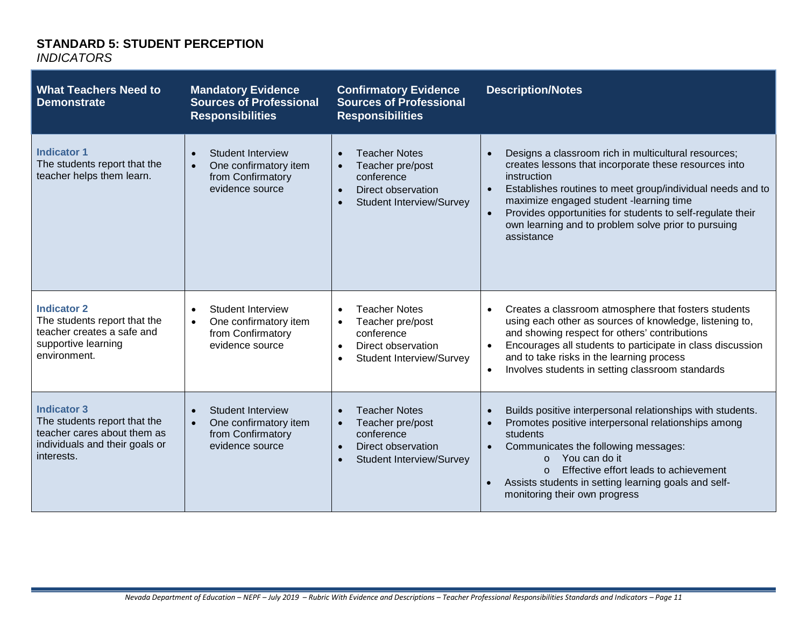## **STANDARD 5: STUDENT PERCEPTION**

| <b>What Teachers Need to</b><br><b>Demonstrate</b>                                                                                | <b>Mandatory Evidence</b><br><b>Sources of Professional</b><br><b>Responsibilities</b>                              | <b>Confirmatory Evidence</b><br><b>Sources of Professional</b><br><b>Responsibilities</b>                                                              | <b>Description/Notes</b>                                                                                                                                                                                                                                                                                                                                                                           |
|-----------------------------------------------------------------------------------------------------------------------------------|---------------------------------------------------------------------------------------------------------------------|--------------------------------------------------------------------------------------------------------------------------------------------------------|----------------------------------------------------------------------------------------------------------------------------------------------------------------------------------------------------------------------------------------------------------------------------------------------------------------------------------------------------------------------------------------------------|
| <b>Indicator 1</b><br>The students report that the<br>teacher helps them learn.                                                   | <b>Student Interview</b><br>$\bullet$<br>One confirmatory item<br>$\bullet$<br>from Confirmatory<br>evidence source | <b>Teacher Notes</b><br>$\bullet$<br>Teacher pre/post<br>conference<br>Direct observation<br>$\bullet$<br><b>Student Interview/Survey</b>              | Designs a classroom rich in multicultural resources;<br>creates lessons that incorporate these resources into<br>instruction<br>Establishes routines to meet group/individual needs and to<br>$\bullet$<br>maximize engaged student -learning time<br>Provides opportunities for students to self-regulate their<br>$\bullet$<br>own learning and to problem solve prior to pursuing<br>assistance |
| <b>Indicator 2</b><br>The students report that the<br>teacher creates a safe and<br>supportive learning<br>environment.           | <b>Student Interview</b><br>$\bullet$<br>One confirmatory item<br>$\bullet$<br>from Confirmatory<br>evidence source | <b>Teacher Notes</b><br>$\bullet$<br>Teacher pre/post<br>$\bullet$<br>conference<br>Direct observation<br>$\bullet$<br><b>Student Interview/Survey</b> | Creates a classroom atmosphere that fosters students<br>$\bullet$<br>using each other as sources of knowledge, listening to,<br>and showing respect for others' contributions<br>Encourages all students to participate in class discussion<br>$\bullet$<br>and to take risks in the learning process<br>Involves students in setting classroom standards<br>$\bullet$                             |
| <b>Indicator 3</b><br>The students report that the<br>teacher cares about them as<br>individuals and their goals or<br>interests. | <b>Student Interview</b><br>$\bullet$<br>One confirmatory item<br>$\bullet$<br>from Confirmatory<br>evidence source | <b>Teacher Notes</b><br>$\bullet$<br>Teacher pre/post<br>conference<br>Direct observation<br>$\bullet$<br><b>Student Interview/Survey</b>              | Builds positive interpersonal relationships with students.<br>Promotes positive interpersonal relationships among<br>students<br>Communicates the following messages:<br>You can do it<br>$\Omega$<br>Effective effort leads to achievement<br>$\Omega$<br>Assists students in setting learning goals and self-<br>monitoring their own progress                                                   |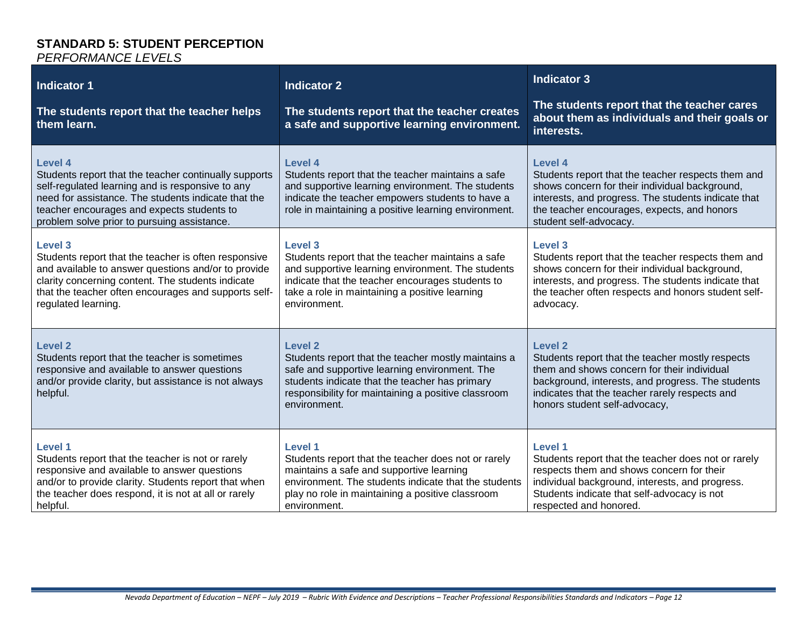#### **STANDARD 5: STUDENT PERCEPTION** *PERFORMANCE LEVELS*

| <b>Indicator 1</b><br>The students report that the teacher helps<br>them learn.                                                                                                                                                                                                 | <b>Indicator 2</b><br>The students report that the teacher creates<br>a safe and supportive learning environment.                                                                                                                               | <b>Indicator 3</b><br>The students report that the teacher cares<br>about them as individuals and their goals or<br>interests.                                                                                                                            |
|---------------------------------------------------------------------------------------------------------------------------------------------------------------------------------------------------------------------------------------------------------------------------------|-------------------------------------------------------------------------------------------------------------------------------------------------------------------------------------------------------------------------------------------------|-----------------------------------------------------------------------------------------------------------------------------------------------------------------------------------------------------------------------------------------------------------|
| <b>Level 4</b><br>Students report that the teacher continually supports<br>self-regulated learning and is responsive to any<br>need for assistance. The students indicate that the<br>teacher encourages and expects students to<br>problem solve prior to pursuing assistance. | Level 4<br>Students report that the teacher maintains a safe<br>and supportive learning environment. The students<br>indicate the teacher empowers students to have a<br>role in maintaining a positive learning environment.                   | <b>Level 4</b><br>Students report that the teacher respects them and<br>shows concern for their individual background,<br>interests, and progress. The students indicate that<br>the teacher encourages, expects, and honors<br>student self-advocacy.    |
| <b>Level 3</b><br>Students report that the teacher is often responsive<br>and available to answer questions and/or to provide<br>clarity concerning content. The students indicate<br>that the teacher often encourages and supports self-<br>regulated learning.               | <b>Level 3</b><br>Students report that the teacher maintains a safe<br>and supportive learning environment. The students<br>indicate that the teacher encourages students to<br>take a role in maintaining a positive learning<br>environment.  | <b>Level 3</b><br>Students report that the teacher respects them and<br>shows concern for their individual background,<br>interests, and progress. The students indicate that<br>the teacher often respects and honors student self-<br>advocacy.         |
| <b>Level 2</b><br>Students report that the teacher is sometimes<br>responsive and available to answer questions<br>and/or provide clarity, but assistance is not always<br>helpful.                                                                                             | <b>Level 2</b><br>Students report that the teacher mostly maintains a<br>safe and supportive learning environment. The<br>students indicate that the teacher has primary<br>responsibility for maintaining a positive classroom<br>environment. | <b>Level 2</b><br>Students report that the teacher mostly respects<br>them and shows concern for their individual<br>background, interests, and progress. The students<br>indicates that the teacher rarely respects and<br>honors student self-advocacy, |
| Level 1<br>Students report that the teacher is not or rarely<br>responsive and available to answer questions<br>and/or to provide clarity. Students report that when<br>the teacher does respond, it is not at all or rarely<br>helpful.                                        | <b>Level 1</b><br>Students report that the teacher does not or rarely<br>maintains a safe and supportive learning<br>environment. The students indicate that the students<br>play no role in maintaining a positive classroom<br>environment.   | Level 1<br>Students report that the teacher does not or rarely<br>respects them and shows concern for their<br>individual background, interests, and progress.<br>Students indicate that self-advocacy is not<br>respected and honored.                   |